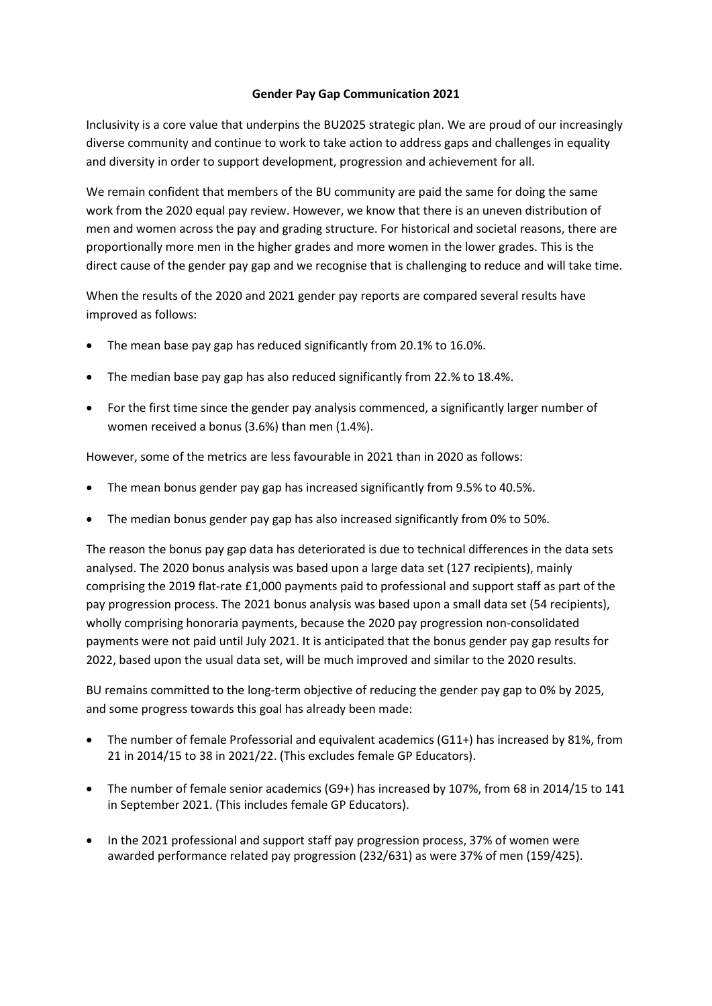## Gender Pay Gap Communication 2021

Inclusivity is a core value that underpins the BU2025 strategic plan. We are proud of our increasingly diverse community and continue to work to take action to address gaps and challenges in equality and diversity in order to support development, progression and achievement for all.

We remain confident that members of the BU community are paid the same for doing the same work from the 2020 equal pay review. However, we know that there is an uneven distribution of men and women across the pay and grading structure. For historical and societal reasons, there are proportionally more men in the higher grades and more women in the lower grades. This is the direct cause of the gender pay gap and we recognise that is challenging to reduce and will take time.

When the results of the 2020 and 2021 gender pay reports are compared several results have improved as follows:

- The mean base pay gap has reduced significantly from 20.1% to 16.0%.
- The median base pay gap has also reduced significantly from 22.% to 18.4%.
- For the first time since the gender pay analysis commenced, a significantly larger number of women received a bonus (3.6%) than men (1.4%).

However, some of the metrics are less favourable in 2021 than in 2020 as follows:

- The mean bonus gender pay gap has increased significantly from 9.5% to 40.5%.
- The median bonus gender pay gap has also increased significantly from 0% to 50%.

The reason the bonus pay gap data has deteriorated is due to technical differences in the data sets analysed. The 2020 bonus analysis was based upon a large data set (127 recipients), mainly comprising the 2019 flat-rate £1,000 payments paid to professional and support staff as part of the pay progression process. The 2021 bonus analysis was based upon a small data set (54 recipients), wholly comprising honoraria payments, because the 2020 pay progression non-consolidated payments were not paid until July 2021. It is anticipated that the bonus gender pay gap results for 2022, based upon the usual data set, will be much improved and similar to the 2020 results.

BU remains committed to the long-term objective of reducing the gender pay gap to 0% by 2025, and some progress towards this goal has already been made:

- The number of female Professorial and equivalent academics (G11+) has increased by 81%, from 21 in 2014/15 to 38 in 2021/22. (This excludes female GP Educators).
- The number of female senior academics (G9+) has increased by 107%, from 68 in 2014/15 to 141 in September 2021. (This includes female GP Educators).
- In the 2021 professional and support staff pay progression process, 37% of women were awarded performance related pay progression (232/631) as were 37% of men (159/425).